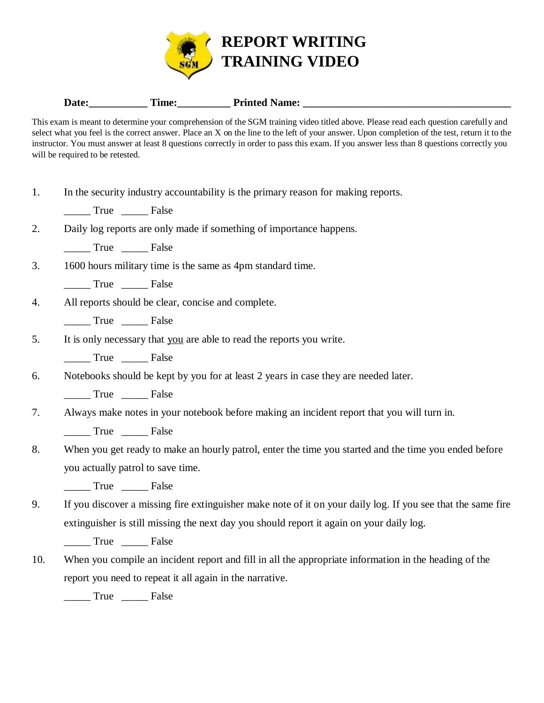

## Date: Time: Time: Printed Name:

This exam is meant to determine your comprehension of the SGM training video titled above. Please read each question carefully and select what you feel is the correct answer. Place an X on the line to the left of your answer. Upon completion of the test, return it to the instructor. You must answer at least 8 questions correctly in order to pass this exam. If you answer less than 8 questions correctly you will be required to be retested.

| In the security industry accountability is the primary reason for making reports. |  |  |  |  |
|-----------------------------------------------------------------------------------|--|--|--|--|
|                                                                                   |  |  |  |  |

True False

2. Daily log reports are only made if something of importance happens.

\_\_\_\_\_ True \_\_\_\_\_ False

3. 1600 hours military time is the same as 4pm standard time.

True False

4. All reports should be clear, concise and complete.

\_\_\_\_\_ True \_\_\_\_\_ False

5. It is only necessary that you are able to read the reports you write.

True False

6. Notebooks should be kept by you for at least 2 years in case they are needed later.

\_\_\_\_\_ True \_\_\_\_\_ False

7. Always make notes in your notebook before making an incident report that you will turn in.

\_\_\_\_\_ True \_\_\_\_\_ False

8. When you get ready to make an hourly patrol, enter the time you started and the time you ended before you actually patrol to save time.

\_\_\_\_\_ True \_\_\_\_\_ False

9. If you discover a missing fire extinguisher make note of it on your daily log. If you see that the same fire extinguisher is still missing the next day you should report it again on your daily log.

\_\_\_\_\_ True \_\_\_\_\_ False

10. When you compile an incident report and fill in all the appropriate information in the heading of the report you need to repeat it all again in the narrative.

True False